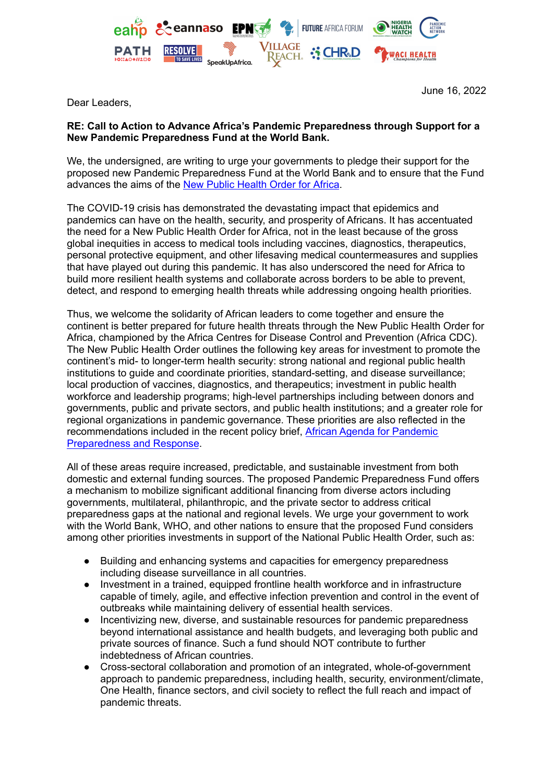

Dear Leaders,

June 16, 2022

## **RE: Call to Action to Advance Africa's Pandemic Preparedness through Support for a New Pandemic Preparedness Fund at the World Bank.**

We, the undersigned, are writing to urge your governments to pledge their support for the proposed new Pandemic Preparedness Fund at the World Bank and to ensure that the Fund advances the aims of the New Public [Health](https://www.imf.org/en/Publications/fandd/issues/2021/12/Public-Health-Order-Africa-Nkengasong) Order for Africa.

The COVID-19 crisis has demonstrated the devastating impact that epidemics and pandemics can have on the health, security, and prosperity of Africans. It has accentuated the need for a New Public Health Order for Africa, not in the least because of the gross global inequities in access to medical tools including vaccines, diagnostics, therapeutics, personal protective equipment, and other lifesaving medical countermeasures and supplies that have played out during this pandemic. It has also underscored the need for Africa to build more resilient health systems and collaborate across borders to be able to prevent, detect, and respond to emerging health threats while addressing ongoing health priorities.

Thus, we welcome the solidarity of African leaders to come together and ensure the continent is better prepared for future health threats through the New Public Health Order for Africa, championed by the Africa Centres for Disease Control and Prevention (Africa CDC). The New Public Health Order outlines the following key areas for investment to promote the continent's mid- to longer-term health security: strong national and regional public health institutions to guide and coordinate priorities, standard-setting, and disease surveillance; local production of vaccines, diagnostics, and therapeutics; investment in public health workforce and leadership programs; high-level partnerships including between donors and governments, public and private sectors, and public health institutions; and a greater role for regional organizations in pandemic governance. These priorities are also reflected in the recommendations included in the recent policy brief, African Agenda for [Pandemic](https://futureafricaforum.org/research-insights/resilient-futures/africa-pandemic-resilience/) [Preparedness](https://futureafricaforum.org/research-insights/resilient-futures/africa-pandemic-resilience/) and Response.

All of these areas require increased, predictable, and sustainable investment from both domestic and external funding sources. The proposed Pandemic Preparedness Fund offers a mechanism to mobilize significant additional financing from diverse actors including governments, multilateral, philanthropic, and the private sector to address critical preparedness gaps at the national and regional levels. We urge your government to work with the World Bank, WHO, and other nations to ensure that the proposed Fund considers among other priorities investments in support of the National Public Health Order, such as:

- Building and enhancing systems and capacities for emergency preparedness including disease surveillance in all countries.
- Investment in a trained, equipped frontline health workforce and in infrastructure capable of timely, agile, and effective infection prevention and control in the event of outbreaks while maintaining delivery of essential health services.
- Incentivizing new, diverse, and sustainable resources for pandemic preparedness beyond international assistance and health budgets, and leveraging both public and private sources of finance. Such a fund should NOT contribute to further indebtedness of African countries.
- Cross-sectoral collaboration and promotion of an integrated, whole-of-government approach to pandemic preparedness, including health, security, environment/climate, One Health, finance sectors, and civil society to reflect the full reach and impact of pandemic threats.